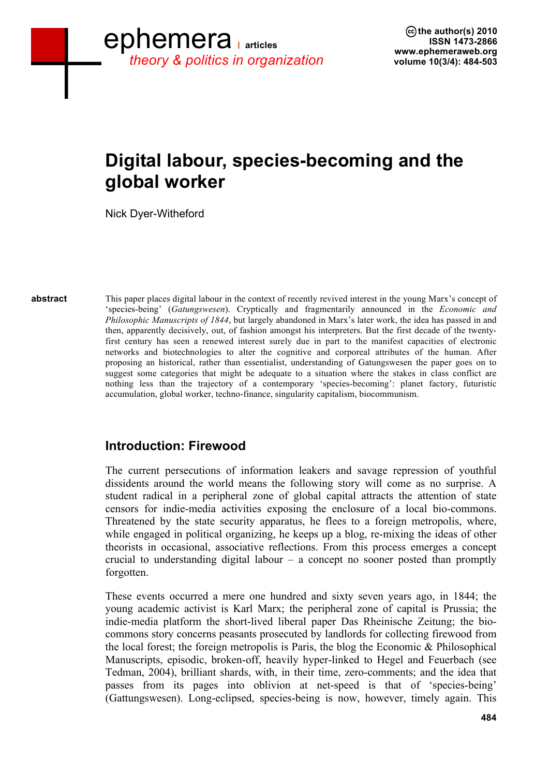# **Digital labour, species-becoming and the global worker**

Nick Dyer-Witheford

This paper places digital labour in the context of recently revived interest in the young Marx's concept of 'species-being' (*Gatungswesen*). Cryptically and fragmentarily announced in the *Economic and Philosophic Manuscripts of 1844*, but largely abandoned in Marx's later work, the idea has passed in and then, apparently decisively, out, of fashion amongst his interpreters. But the first decade of the twentyfirst century has seen a renewed interest surely due in part to the manifest capacities of electronic networks and biotechnologies to alter the cognitive and corporeal attributes of the human. After proposing an historical, rather than essentialist, understanding of Gatungswesen the paper goes on to suggest some categories that might be adequate to a situation where the stakes in class conflict are nothing less than the trajectory of a contemporary 'species-becoming': planet factory, futuristic accumulation, global worker, techno-finance, singularity capitalism, biocommunism. **abstract**

# **Introduction: Firewood**

The current persecutions of information leakers and savage repression of youthful dissidents around the world means the following story will come as no surprise. A student radical in a peripheral zone of global capital attracts the attention of state censors for indie-media activities exposing the enclosure of a local bio-commons. Threatened by the state security apparatus, he flees to a foreign metropolis, where, while engaged in political organizing, he keeps up a blog, re-mixing the ideas of other theorists in occasional, associative reflections. From this process emerges a concept crucial to understanding digital labour – a concept no sooner posted than promptly forgotten.

These events occurred a mere one hundred and sixty seven years ago, in 1844; the young academic activist is Karl Marx; the peripheral zone of capital is Prussia; the indie-media platform the short-lived liberal paper Das Rheinische Zeitung; the biocommons story concerns peasants prosecuted by landlords for collecting firewood from the local forest; the foreign metropolis is Paris, the blog the Economic & Philosophical Manuscripts, episodic, broken-off, heavily hyper-linked to Hegel and Feuerbach (see Tedman, 2004), brilliant shards, with, in their time, zero-comments; and the idea that passes from its pages into oblivion at net-speed is that of 'species-being' (Gattungswesen). Long-eclipsed, species-being is now, however, timely again. This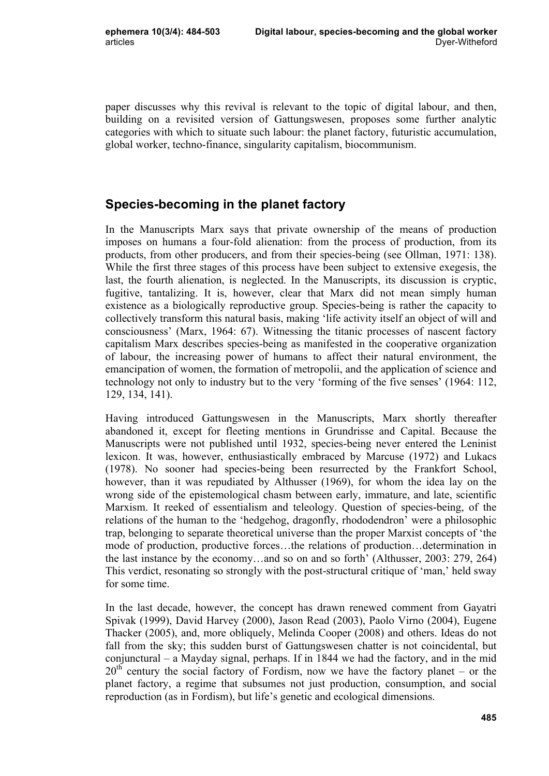paper discusses why this revival is relevant to the topic of digital labour, and then, building on a revisited version of Gattungswesen, proposes some further analytic categories with which to situate such labour: the planet factory, futuristic accumulation, global worker, techno-finance, singularity capitalism, biocommunism.

### **Species-becoming in the planet factory**

In the Manuscripts Marx says that private ownership of the means of production imposes on humans a four-fold alienation: from the process of production, from its products, from other producers, and from their species-being (see Ollman, 1971: 138). While the first three stages of this process have been subject to extensive exegesis, the last, the fourth alienation, is neglected. In the Manuscripts, its discussion is cryptic, fugitive, tantalizing. It is, however, clear that Marx did not mean simply human existence as a biologically reproductive group. Species-being is rather the capacity to collectively transform this natural basis, making 'life activity itself an object of will and consciousness' (Marx, 1964: 67). Witnessing the titanic processes of nascent factory capitalism Marx describes species-being as manifested in the cooperative organization of labour, the increasing power of humans to affect their natural environment, the emancipation of women, the formation of metropolii, and the application of science and technology not only to industry but to the very 'forming of the five senses' (1964: 112, 129, 134, 141).

Having introduced Gattungswesen in the Manuscripts, Marx shortly thereafter abandoned it, except for fleeting mentions in Grundrisse and Capital. Because the Manuscripts were not published until 1932, species-being never entered the Leninist lexicon. It was, however, enthusiastically embraced by Marcuse (1972) and Lukacs (1978). No sooner had species-being been resurrected by the Frankfort School, however, than it was repudiated by Althusser (1969), for whom the idea lay on the wrong side of the epistemological chasm between early, immature, and late, scientific Marxism. It reeked of essentialism and teleology. Question of species-being, of the relations of the human to the 'hedgehog, dragonfly, rhododendron' were a philosophic trap, belonging to separate theoretical universe than the proper Marxist concepts of 'the mode of production, productive forces…the relations of production…determination in the last instance by the economy…and so on and so forth' (Althusser, 2003: 279, 264) This verdict, resonating so strongly with the post-structural critique of 'man,' held sway for some time.

In the last decade, however, the concept has drawn renewed comment from Gayatri Spivak (1999), David Harvey (2000), Jason Read (2003), Paolo Virno (2004), Eugene Thacker (2005), and, more obliquely, Melinda Cooper (2008) and others. Ideas do not fall from the sky; this sudden burst of Gattungswesen chatter is not coincidental, but conjunctural – a Mayday signal, perhaps. If in 1844 we had the factory, and in the mid  $20<sup>th</sup>$  century the social factory of Fordism, now we have the factory planet – or the planet factory, a regime that subsumes not just production, consumption, and social reproduction (as in Fordism), but life's genetic and ecological dimensions.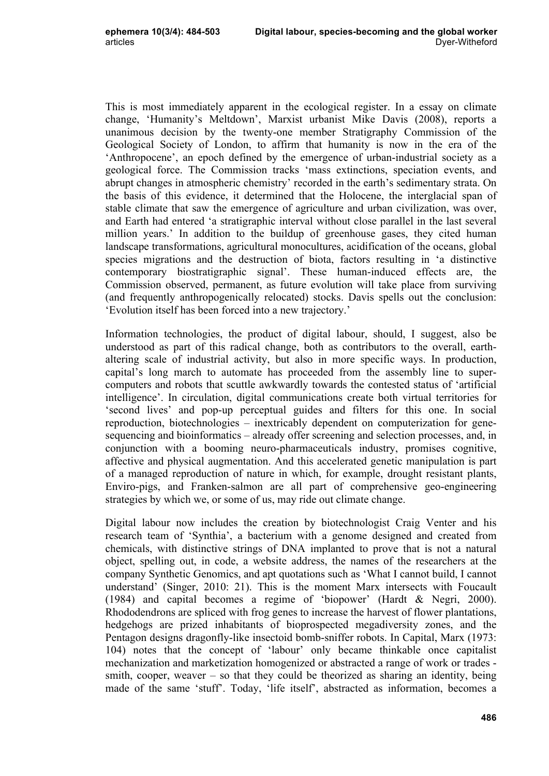This is most immediately apparent in the ecological register. In a essay on climate change, 'Humanity's Meltdown', Marxist urbanist Mike Davis (2008), reports a unanimous decision by the twenty-one member Stratigraphy Commission of the Geological Society of London, to affirm that humanity is now in the era of the 'Anthropocene', an epoch defined by the emergence of urban-industrial society as a geological force. The Commission tracks 'mass extinctions, speciation events, and abrupt changes in atmospheric chemistry' recorded in the earth's sedimentary strata. On the basis of this evidence, it determined that the Holocene, the interglacial span of stable climate that saw the emergence of agriculture and urban civilization, was over, and Earth had entered 'a stratigraphic interval without close parallel in the last several million years.' In addition to the buildup of greenhouse gases, they cited human landscape transformations, agricultural monocultures, acidification of the oceans, global species migrations and the destruction of biota, factors resulting in 'a distinctive contemporary biostratigraphic signal'. These human-induced effects are, the Commission observed, permanent, as future evolution will take place from surviving (and frequently anthropogenically relocated) stocks. Davis spells out the conclusion: 'Evolution itself has been forced into a new trajectory.'

Information technologies, the product of digital labour, should, I suggest, also be understood as part of this radical change, both as contributors to the overall, earthaltering scale of industrial activity, but also in more specific ways. In production, capital's long march to automate has proceeded from the assembly line to supercomputers and robots that scuttle awkwardly towards the contested status of 'artificial intelligence'. In circulation, digital communications create both virtual territories for 'second lives' and pop-up perceptual guides and filters for this one. In social reproduction, biotechnologies – inextricably dependent on computerization for genesequencing and bioinformatics – already offer screening and selection processes, and, in conjunction with a booming neuro-pharmaceuticals industry, promises cognitive, affective and physical augmentation. And this accelerated genetic manipulation is part of a managed reproduction of nature in which, for example, drought resistant plants, Enviro-pigs, and Franken-salmon are all part of comprehensive geo-engineering strategies by which we, or some of us, may ride out climate change.

Digital labour now includes the creation by biotechnologist Craig Venter and his research team of 'Synthia', a bacterium with a genome designed and created from chemicals, with distinctive strings of DNA implanted to prove that is not a natural object, spelling out, in code, a website address, the names of the researchers at the company Synthetic Genomics, and apt quotations such as 'What I cannot build, I cannot understand' (Singer, 2010: 21). This is the moment Marx intersects with Foucault (1984) and capital becomes a regime of 'biopower' (Hardt & Negri, 2000). Rhododendrons are spliced with frog genes to increase the harvest of flower plantations, hedgehogs are prized inhabitants of bioprospected megadiversity zones, and the Pentagon designs dragonfly-like insectoid bomb-sniffer robots. In Capital, Marx (1973: 104) notes that the concept of 'labour' only became thinkable once capitalist mechanization and marketization homogenized or abstracted a range of work or trades smith, cooper, weaver – so that they could be theorized as sharing an identity, being made of the same 'stuff'. Today, 'life itself', abstracted as information, becomes a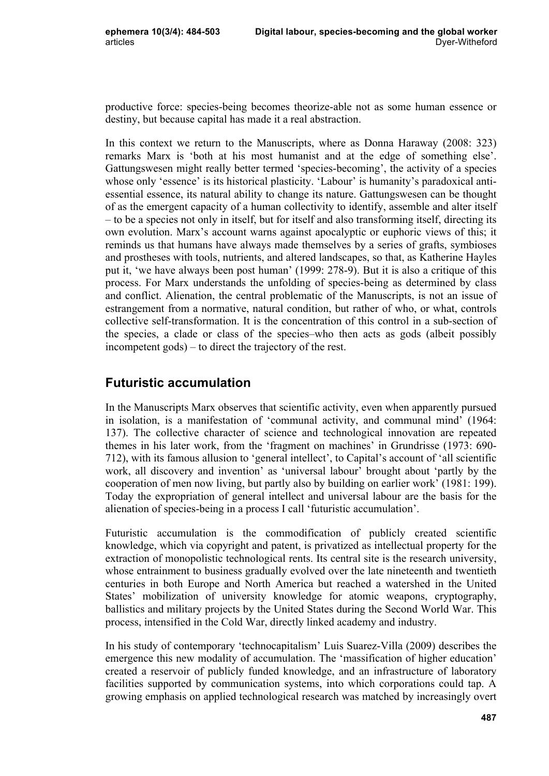productive force: species-being becomes theorize-able not as some human essence or destiny, but because capital has made it a real abstraction.

In this context we return to the Manuscripts, where as Donna Haraway (2008: 323) remarks Marx is 'both at his most humanist and at the edge of something else'. Gattungswesen might really better termed 'species-becoming', the activity of a species whose only 'essence' is its historical plasticity. 'Labour' is humanity's paradoxical antiessential essence, its natural ability to change its nature. Gattungswesen can be thought of as the emergent capacity of a human collectivity to identify, assemble and alter itself – to be a species not only in itself, but for itself and also transforming itself, directing its own evolution. Marx's account warns against apocalyptic or euphoric views of this; it reminds us that humans have always made themselves by a series of grafts, symbioses and prostheses with tools, nutrients, and altered landscapes, so that, as Katherine Hayles put it, 'we have always been post human' (1999: 278-9). But it is also a critique of this process. For Marx understands the unfolding of species-being as determined by class and conflict. Alienation, the central problematic of the Manuscripts, is not an issue of estrangement from a normative, natural condition, but rather of who, or what, controls collective self-transformation. It is the concentration of this control in a sub-section of the species, a clade or class of the species–who then acts as gods (albeit possibly incompetent gods) – to direct the trajectory of the rest.

## **Futuristic accumulation**

In the Manuscripts Marx observes that scientific activity, even when apparently pursued in isolation, is a manifestation of 'communal activity, and communal mind' (1964: 137). The collective character of science and technological innovation are repeated themes in his later work, from the 'fragment on machines' in Grundrisse (1973: 690- 712), with its famous allusion to 'general intellect', to Capital's account of 'all scientific work, all discovery and invention' as 'universal labour' brought about 'partly by the cooperation of men now living, but partly also by building on earlier work' (1981: 199). Today the expropriation of general intellect and universal labour are the basis for the alienation of species-being in a process I call 'futuristic accumulation'.

Futuristic accumulation is the commodification of publicly created scientific knowledge, which via copyright and patent, is privatized as intellectual property for the extraction of monopolistic technological rents. Its central site is the research university, whose entrainment to business gradually evolved over the late nineteenth and twentieth centuries in both Europe and North America but reached a watershed in the United States' mobilization of university knowledge for atomic weapons, cryptography, ballistics and military projects by the United States during the Second World War. This process, intensified in the Cold War, directly linked academy and industry.

In his study of contemporary 'technocapitalism' Luis Suarez-Villa (2009) describes the emergence this new modality of accumulation. The 'massification of higher education' created a reservoir of publicly funded knowledge, and an infrastructure of laboratory facilities supported by communication systems, into which corporations could tap. A growing emphasis on applied technological research was matched by increasingly overt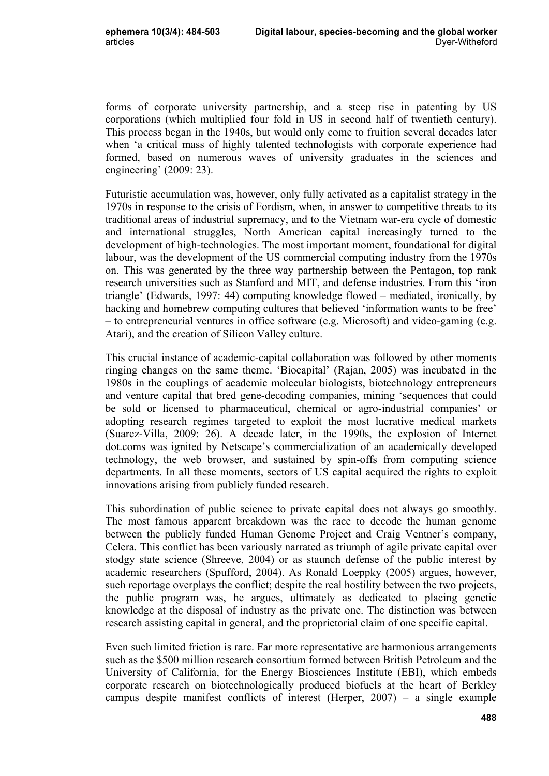forms of corporate university partnership, and a steep rise in patenting by US corporations (which multiplied four fold in US in second half of twentieth century). This process began in the 1940s, but would only come to fruition several decades later when 'a critical mass of highly talented technologists with corporate experience had formed, based on numerous waves of university graduates in the sciences and engineering' (2009: 23).

Futuristic accumulation was, however, only fully activated as a capitalist strategy in the 1970s in response to the crisis of Fordism, when, in answer to competitive threats to its traditional areas of industrial supremacy, and to the Vietnam war-era cycle of domestic and international struggles, North American capital increasingly turned to the development of high-technologies. The most important moment, foundational for digital labour, was the development of the US commercial computing industry from the 1970s on. This was generated by the three way partnership between the Pentagon, top rank research universities such as Stanford and MIT, and defense industries. From this 'iron triangle' (Edwards, 1997: 44) computing knowledge flowed – mediated, ironically, by hacking and homebrew computing cultures that believed 'information wants to be free' – to entrepreneurial ventures in office software (e.g. Microsoft) and video-gaming (e.g. Atari), and the creation of Silicon Valley culture.

This crucial instance of academic-capital collaboration was followed by other moments ringing changes on the same theme. 'Biocapital' (Rajan, 2005) was incubated in the 1980s in the couplings of academic molecular biologists, biotechnology entrepreneurs and venture capital that bred gene-decoding companies, mining 'sequences that could be sold or licensed to pharmaceutical, chemical or agro-industrial companies' or adopting research regimes targeted to exploit the most lucrative medical markets (Suarez-Villa, 2009: 26). A decade later, in the 1990s, the explosion of Internet dot.coms was ignited by Netscape's commercialization of an academically developed technology, the web browser, and sustained by spin-offs from computing science departments. In all these moments, sectors of US capital acquired the rights to exploit innovations arising from publicly funded research.

This subordination of public science to private capital does not always go smoothly. The most famous apparent breakdown was the race to decode the human genome between the publicly funded Human Genome Project and Craig Ventner's company, Celera. This conflict has been variously narrated as triumph of agile private capital over stodgy state science (Shreeve, 2004) or as staunch defense of the public interest by academic researchers (Spufford, 2004). As Ronald Loeppky (2005) argues, however, such reportage overplays the conflict; despite the real hostility between the two projects, the public program was, he argues, ultimately as dedicated to placing genetic knowledge at the disposal of industry as the private one. The distinction was between research assisting capital in general, and the proprietorial claim of one specific capital.

Even such limited friction is rare. Far more representative are harmonious arrangements such as the \$500 million research consortium formed between British Petroleum and the University of California, for the Energy Biosciences Institute (EBI), which embeds corporate research on biotechnologically produced biofuels at the heart of Berkley campus despite manifest conflicts of interest (Herper, 2007) – a single example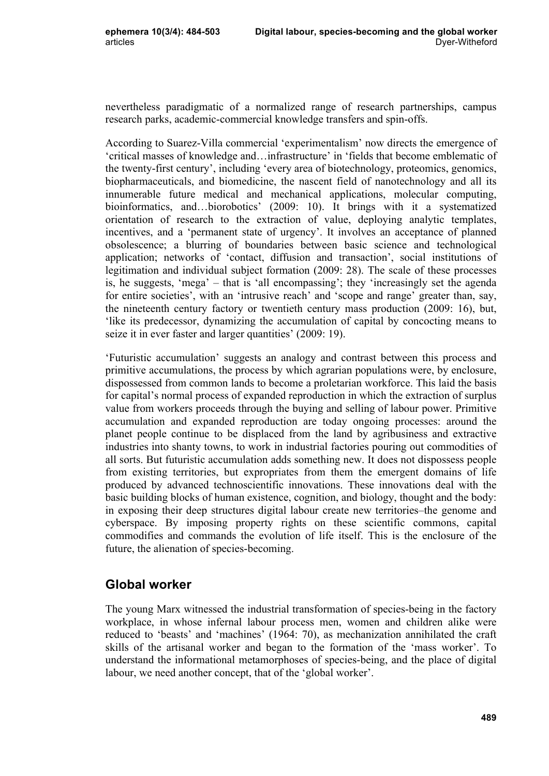nevertheless paradigmatic of a normalized range of research partnerships, campus research parks, academic-commercial knowledge transfers and spin-offs.

According to Suarez-Villa commercial 'experimentalism' now directs the emergence of 'critical masses of knowledge and…infrastructure' in 'fields that become emblematic of the twenty-first century', including 'every area of biotechnology, proteomics, genomics, biopharmaceuticals, and biomedicine, the nascent field of nanotechnology and all its innumerable future medical and mechanical applications, molecular computing, bioinformatics, and…biorobotics' (2009: 10). It brings with it a systematized orientation of research to the extraction of value, deploying analytic templates, incentives, and a 'permanent state of urgency'. It involves an acceptance of planned obsolescence; a blurring of boundaries between basic science and technological application; networks of 'contact, diffusion and transaction', social institutions of legitimation and individual subject formation (2009: 28). The scale of these processes is, he suggests, 'mega' – that is 'all encompassing'; they 'increasingly set the agenda for entire societies', with an 'intrusive reach' and 'scope and range' greater than, say, the nineteenth century factory or twentieth century mass production (2009: 16), but, 'like its predecessor, dynamizing the accumulation of capital by concocting means to seize it in ever faster and larger quantities' (2009: 19).

'Futuristic accumulation' suggests an analogy and contrast between this process and primitive accumulations, the process by which agrarian populations were, by enclosure, dispossessed from common lands to become a proletarian workforce. This laid the basis for capital's normal process of expanded reproduction in which the extraction of surplus value from workers proceeds through the buying and selling of labour power. Primitive accumulation and expanded reproduction are today ongoing processes: around the planet people continue to be displaced from the land by agribusiness and extractive industries into shanty towns, to work in industrial factories pouring out commodities of all sorts. But futuristic accumulation adds something new. It does not dispossess people from existing territories, but expropriates from them the emergent domains of life produced by advanced technoscientific innovations. These innovations deal with the basic building blocks of human existence, cognition, and biology, thought and the body: in exposing their deep structures digital labour create new territories–the genome and cyberspace. By imposing property rights on these scientific commons, capital commodifies and commands the evolution of life itself. This is the enclosure of the future, the alienation of species-becoming.

#### **Global worker**

The young Marx witnessed the industrial transformation of species-being in the factory workplace, in whose infernal labour process men, women and children alike were reduced to 'beasts' and 'machines' (1964: 70), as mechanization annihilated the craft skills of the artisanal worker and began to the formation of the 'mass worker'. To understand the informational metamorphoses of species-being, and the place of digital labour, we need another concept, that of the 'global worker'.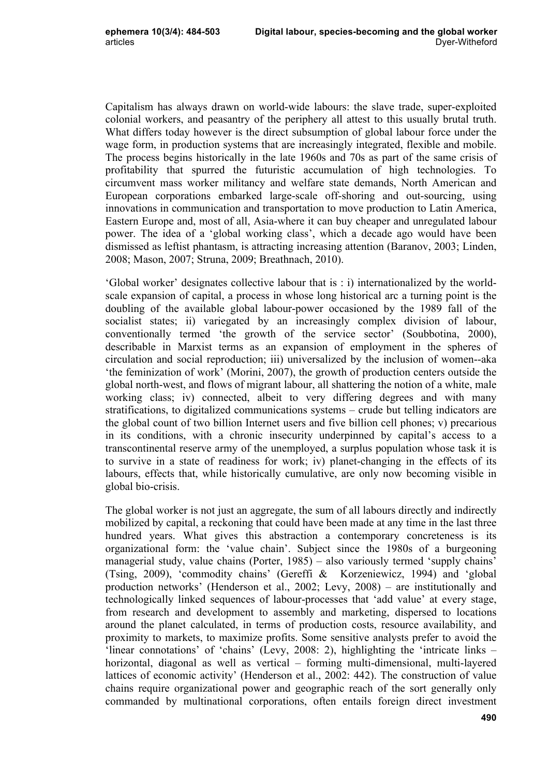Capitalism has always drawn on world-wide labours: the slave trade, super-exploited colonial workers, and peasantry of the periphery all attest to this usually brutal truth. What differs today however is the direct subsumption of global labour force under the wage form, in production systems that are increasingly integrated, flexible and mobile. The process begins historically in the late 1960s and 70s as part of the same crisis of profitability that spurred the futuristic accumulation of high technologies. To circumvent mass worker militancy and welfare state demands, North American and European corporations embarked large-scale off-shoring and out-sourcing, using innovations in communication and transportation to move production to Latin America, Eastern Europe and, most of all, Asia-where it can buy cheaper and unregulated labour power. The idea of a 'global working class', which a decade ago would have been dismissed as leftist phantasm, is attracting increasing attention (Baranov, 2003; Linden, 2008; Mason, 2007; Struna, 2009; Breathnach, 2010).

'Global worker' designates collective labour that is : i) internationalized by the worldscale expansion of capital, a process in whose long historical arc a turning point is the doubling of the available global labour-power occasioned by the 1989 fall of the socialist states; ii) variegated by an increasingly complex division of labour, conventionally termed 'the growth of the service sector' (Soubbotina, 2000), describable in Marxist terms as an expansion of employment in the spheres of circulation and social reproduction; iii) universalized by the inclusion of women--aka 'the feminization of work' (Morini, 2007), the growth of production centers outside the global north-west, and flows of migrant labour, all shattering the notion of a white, male working class; iv) connected, albeit to very differing degrees and with many stratifications, to digitalized communications systems – crude but telling indicators are the global count of two billion Internet users and five billion cell phones; v) precarious in its conditions, with a chronic insecurity underpinned by capital's access to a transcontinental reserve army of the unemployed, a surplus population whose task it is to survive in a state of readiness for work; iv) planet-changing in the effects of its labours, effects that, while historically cumulative, are only now becoming visible in global bio-crisis.

The global worker is not just an aggregate, the sum of all labours directly and indirectly mobilized by capital, a reckoning that could have been made at any time in the last three hundred years. What gives this abstraction a contemporary concreteness is its organizational form: the 'value chain'. Subject since the 1980s of a burgeoning managerial study, value chains (Porter, 1985) – also variously termed 'supply chains' (Tsing, 2009), 'commodity chains' (Gereffi & Korzeniewicz, 1994) and 'global production networks' (Henderson et al., 2002; Levy, 2008) – are institutionally and technologically linked sequences of labour-processes that 'add value' at every stage, from research and development to assembly and marketing, dispersed to locations around the planet calculated, in terms of production costs, resource availability, and proximity to markets, to maximize profits. Some sensitive analysts prefer to avoid the 'linear connotations' of 'chains' (Levy, 2008: 2), highlighting the 'intricate links – horizontal, diagonal as well as vertical – forming multi-dimensional, multi-layered lattices of economic activity' (Henderson et al., 2002: 442). The construction of value chains require organizational power and geographic reach of the sort generally only commanded by multinational corporations, often entails foreign direct investment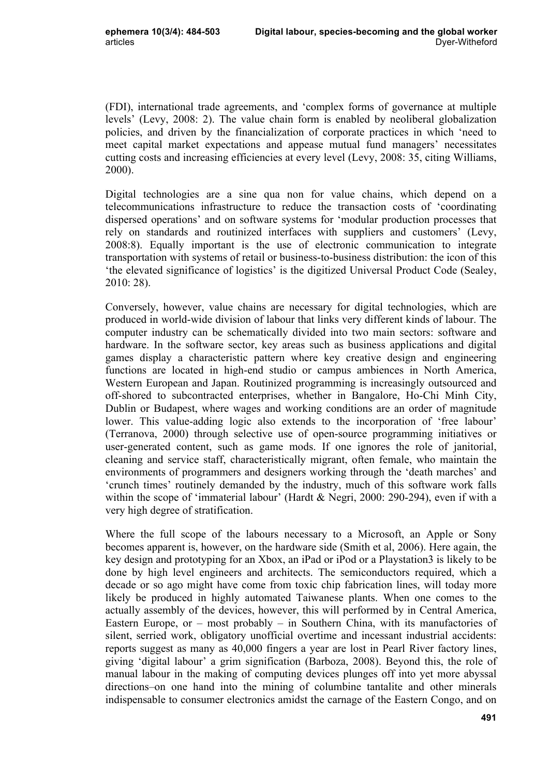(FDI), international trade agreements, and 'complex forms of governance at multiple levels' (Levy, 2008: 2). The value chain form is enabled by neoliberal globalization policies, and driven by the financialization of corporate practices in which 'need to meet capital market expectations and appease mutual fund managers' necessitates cutting costs and increasing efficiencies at every level (Levy, 2008: 35, citing Williams, 2000).

Digital technologies are a sine qua non for value chains, which depend on a telecommunications infrastructure to reduce the transaction costs of 'coordinating dispersed operations' and on software systems for 'modular production processes that rely on standards and routinized interfaces with suppliers and customers' (Levy, 2008:8). Equally important is the use of electronic communication to integrate transportation with systems of retail or business-to-business distribution: the icon of this 'the elevated significance of logistics' is the digitized Universal Product Code (Sealey, 2010: 28).

Conversely, however, value chains are necessary for digital technologies, which are produced in world-wide division of labour that links very different kinds of labour. The computer industry can be schematically divided into two main sectors: software and hardware. In the software sector, key areas such as business applications and digital games display a characteristic pattern where key creative design and engineering functions are located in high-end studio or campus ambiences in North America, Western European and Japan. Routinized programming is increasingly outsourced and off-shored to subcontracted enterprises, whether in Bangalore, Ho-Chi Minh City, Dublin or Budapest, where wages and working conditions are an order of magnitude lower. This value-adding logic also extends to the incorporation of 'free labour' (Terranova, 2000) through selective use of open-source programming initiatives or user-generated content, such as game mods. If one ignores the role of janitorial, cleaning and service staff, characteristically migrant, often female, who maintain the environments of programmers and designers working through the 'death marches' and 'crunch times' routinely demanded by the industry, much of this software work falls within the scope of 'immaterial labour' (Hardt & Negri, 2000: 290-294), even if with a very high degree of stratification.

Where the full scope of the labours necessary to a Microsoft, an Apple or Sony becomes apparent is, however, on the hardware side (Smith et al, 2006). Here again, the key design and prototyping for an Xbox, an iPad or iPod or a Playstation3 is likely to be done by high level engineers and architects. The semiconductors required, which a decade or so ago might have come from toxic chip fabrication lines, will today more likely be produced in highly automated Taiwanese plants. When one comes to the actually assembly of the devices, however, this will performed by in Central America, Eastern Europe, or – most probably – in Southern China, with its manufactories of silent, serried work, obligatory unofficial overtime and incessant industrial accidents: reports suggest as many as 40,000 fingers a year are lost in Pearl River factory lines, giving 'digital labour' a grim signification (Barboza, 2008). Beyond this, the role of manual labour in the making of computing devices plunges off into yet more abyssal directions–on one hand into the mining of columbine tantalite and other minerals indispensable to consumer electronics amidst the carnage of the Eastern Congo, and on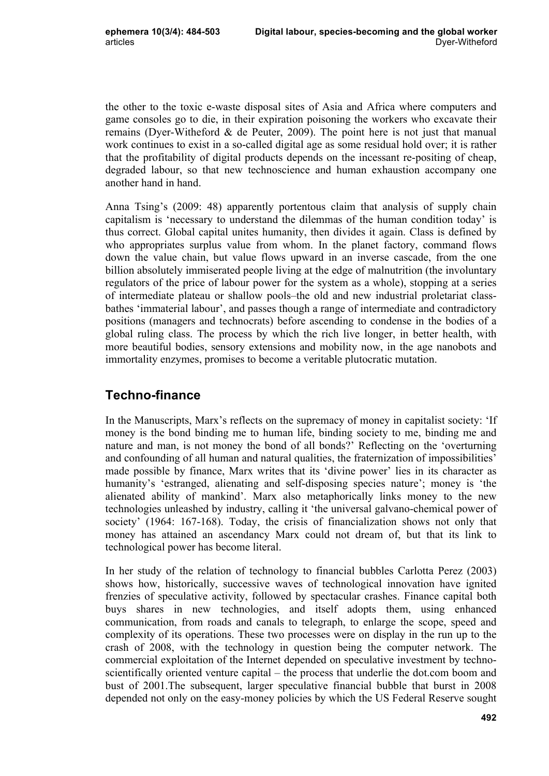the other to the toxic e-waste disposal sites of Asia and Africa where computers and game consoles go to die, in their expiration poisoning the workers who excavate their remains (Dyer-Witheford & de Peuter, 2009). The point here is not just that manual work continues to exist in a so-called digital age as some residual hold over; it is rather that the profitability of digital products depends on the incessant re-positing of cheap, degraded labour, so that new technoscience and human exhaustion accompany one another hand in hand.

Anna Tsing's (2009: 48) apparently portentous claim that analysis of supply chain capitalism is 'necessary to understand the dilemmas of the human condition today' is thus correct. Global capital unites humanity, then divides it again. Class is defined by who appropriates surplus value from whom. In the planet factory, command flows down the value chain, but value flows upward in an inverse cascade, from the one billion absolutely immiserated people living at the edge of malnutrition (the involuntary regulators of the price of labour power for the system as a whole), stopping at a series of intermediate plateau or shallow pools–the old and new industrial proletariat classbathes 'immaterial labour', and passes though a range of intermediate and contradictory positions (managers and technocrats) before ascending to condense in the bodies of a global ruling class. The process by which the rich live longer, in better health, with more beautiful bodies, sensory extensions and mobility now, in the age nanobots and immortality enzymes, promises to become a veritable plutocratic mutation.

# **Techno-finance**

In the Manuscripts, Marx's reflects on the supremacy of money in capitalist society: 'If money is the bond binding me to human life, binding society to me, binding me and nature and man, is not money the bond of all bonds?' Reflecting on the 'overturning and confounding of all human and natural qualities, the fraternization of impossibilities' made possible by finance, Marx writes that its 'divine power' lies in its character as humanity's 'estranged, alienating and self-disposing species nature'; money is 'the alienated ability of mankind'. Marx also metaphorically links money to the new technologies unleashed by industry, calling it 'the universal galvano-chemical power of society' (1964: 167-168). Today, the crisis of financialization shows not only that money has attained an ascendancy Marx could not dream of, but that its link to technological power has become literal.

In her study of the relation of technology to financial bubbles Carlotta Perez (2003) shows how, historically, successive waves of technological innovation have ignited frenzies of speculative activity, followed by spectacular crashes. Finance capital both buys shares in new technologies, and itself adopts them, using enhanced communication, from roads and canals to telegraph, to enlarge the scope, speed and complexity of its operations. These two processes were on display in the run up to the crash of 2008, with the technology in question being the computer network. The commercial exploitation of the Internet depended on speculative investment by technoscientifically oriented venture capital – the process that underlie the dot.com boom and bust of 2001.The subsequent, larger speculative financial bubble that burst in 2008 depended not only on the easy-money policies by which the US Federal Reserve sought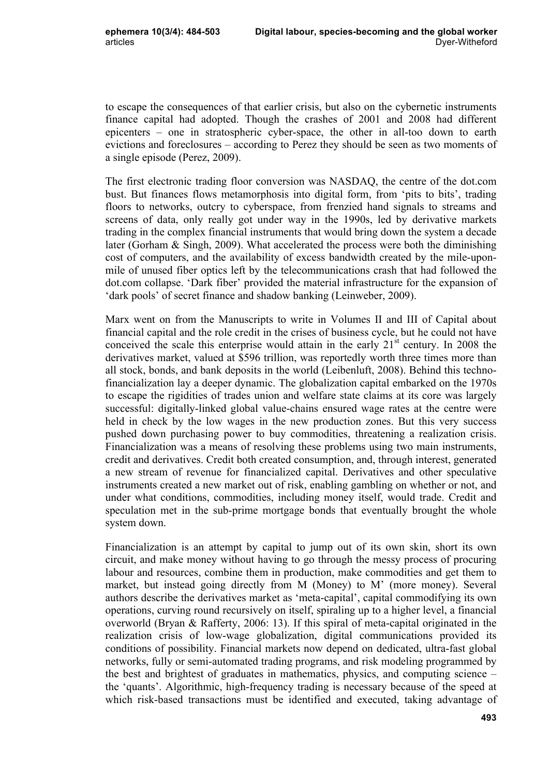to escape the consequences of that earlier crisis, but also on the cybernetic instruments finance capital had adopted. Though the crashes of 2001 and 2008 had different epicenters – one in stratospheric cyber-space, the other in all-too down to earth evictions and foreclosures – according to Perez they should be seen as two moments of a single episode (Perez, 2009).

The first electronic trading floor conversion was NASDAQ, the centre of the dot.com bust. But finances flows metamorphosis into digital form, from 'pits to bits', trading floors to networks, outcry to cyberspace, from frenzied hand signals to streams and screens of data, only really got under way in the 1990s, led by derivative markets trading in the complex financial instruments that would bring down the system a decade later (Gorham & Singh, 2009). What accelerated the process were both the diminishing cost of computers, and the availability of excess bandwidth created by the mile-uponmile of unused fiber optics left by the telecommunications crash that had followed the dot.com collapse. 'Dark fiber' provided the material infrastructure for the expansion of 'dark pools' of secret finance and shadow banking (Leinweber, 2009).

Marx went on from the Manuscripts to write in Volumes II and III of Capital about financial capital and the role credit in the crises of business cycle, but he could not have conceived the scale this enterprise would attain in the early  $21<sup>st</sup>$  century. In 2008 the derivatives market, valued at \$596 trillion, was reportedly worth three times more than all stock, bonds, and bank deposits in the world (Leibenluft, 2008). Behind this technofinancialization lay a deeper dynamic. The globalization capital embarked on the 1970s to escape the rigidities of trades union and welfare state claims at its core was largely successful: digitally-linked global value-chains ensured wage rates at the centre were held in check by the low wages in the new production zones. But this very success pushed down purchasing power to buy commodities, threatening a realization crisis. Financialization was a means of resolving these problems using two main instruments, credit and derivatives. Credit both created consumption, and, through interest, generated a new stream of revenue for financialized capital. Derivatives and other speculative instruments created a new market out of risk, enabling gambling on whether or not, and under what conditions, commodities, including money itself, would trade. Credit and speculation met in the sub-prime mortgage bonds that eventually brought the whole system down.

Financialization is an attempt by capital to jump out of its own skin, short its own circuit, and make money without having to go through the messy process of procuring labour and resources, combine them in production, make commodities and get them to market, but instead going directly from M (Money) to M' (more money). Several authors describe the derivatives market as 'meta-capital', capital commodifying its own operations, curving round recursively on itself, spiraling up to a higher level, a financial overworld (Bryan & Rafferty, 2006: 13). If this spiral of meta-capital originated in the realization crisis of low-wage globalization, digital communications provided its conditions of possibility. Financial markets now depend on dedicated, ultra-fast global networks, fully or semi-automated trading programs, and risk modeling programmed by the best and brightest of graduates in mathematics, physics, and computing science – the 'quants'. Algorithmic, high-frequency trading is necessary because of the speed at which risk-based transactions must be identified and executed, taking advantage of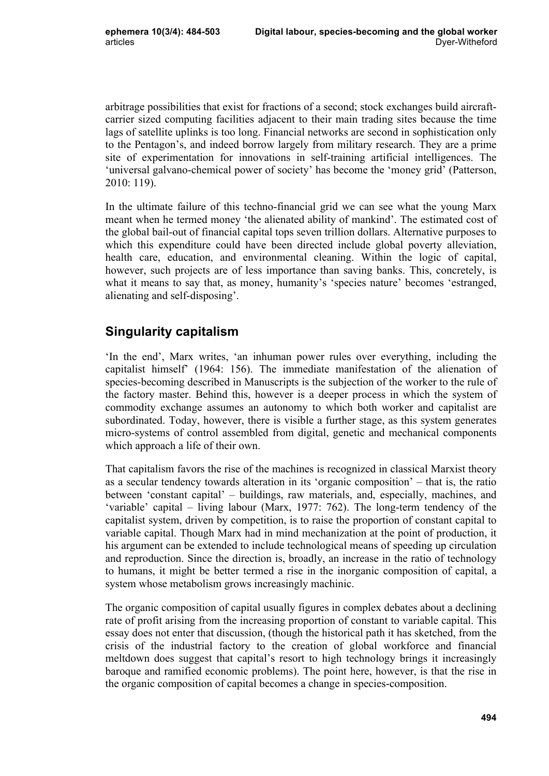arbitrage possibilities that exist for fractions of a second; stock exchanges build aircraftcarrier sized computing facilities adjacent to their main trading sites because the time lags of satellite uplinks is too long. Financial networks are second in sophistication only to the Pentagon's, and indeed borrow largely from military research. They are a prime site of experimentation for innovations in self-training artificial intelligences. The 'universal galvano-chemical power of society' has become the 'money grid' (Patterson, 2010: 119).

In the ultimate failure of this techno-financial grid we can see what the young Marx meant when he termed money 'the alienated ability of mankind'. The estimated cost of the global bail-out of financial capital tops seven trillion dollars. Alternative purposes to which this expenditure could have been directed include global poverty alleviation, health care, education, and environmental cleaning. Within the logic of capital, however, such projects are of less importance than saving banks. This, concretely, is what it means to say that, as money, humanity's 'species nature' becomes 'estranged, alienating and self-disposing'.

# **Singularity capitalism**

'In the end', Marx writes, 'an inhuman power rules over everything, including the capitalist himself' (1964: 156). The immediate manifestation of the alienation of species-becoming described in Manuscripts is the subjection of the worker to the rule of the factory master. Behind this, however is a deeper process in which the system of commodity exchange assumes an autonomy to which both worker and capitalist are subordinated. Today, however, there is visible a further stage, as this system generates micro-systems of control assembled from digital, genetic and mechanical components which approach a life of their own.

That capitalism favors the rise of the machines is recognized in classical Marxist theory as a secular tendency towards alteration in its 'organic composition' – that is, the ratio between 'constant capital' – buildings, raw materials, and, especially, machines, and 'variable' capital – living labour (Marx, 1977: 762). The long-term tendency of the capitalist system, driven by competition, is to raise the proportion of constant capital to variable capital. Though Marx had in mind mechanization at the point of production, it his argument can be extended to include technological means of speeding up circulation and reproduction. Since the direction is, broadly, an increase in the ratio of technology to humans, it might be better termed a rise in the inorganic composition of capital, a system whose metabolism grows increasingly machinic.

The organic composition of capital usually figures in complex debates about a declining rate of profit arising from the increasing proportion of constant to variable capital. This essay does not enter that discussion, (though the historical path it has sketched, from the crisis of the industrial factory to the creation of global workforce and financial meltdown does suggest that capital's resort to high technology brings it increasingly baroque and ramified economic problems). The point here, however, is that the rise in the organic composition of capital becomes a change in species-composition.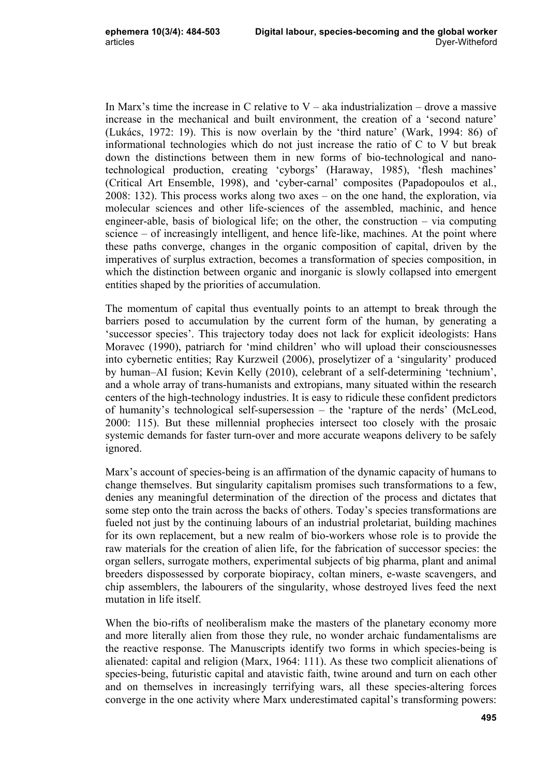In Marx's time the increase in C relative to  $V - a$ ka industrialization – drove a massive increase in the mechanical and built environment, the creation of a 'second nature' (Lukács, 1972: 19). This is now overlain by the 'third nature' (Wark, 1994: 86) of informational technologies which do not just increase the ratio of C to V but break down the distinctions between them in new forms of bio-technological and nanotechnological production, creating 'cyborgs' (Haraway, 1985), 'flesh machines' (Critical Art Ensemble, 1998), and 'cyber-carnal' composites (Papadopoulos et al., 2008: 132). This process works along two axes – on the one hand, the exploration, via molecular sciences and other life-sciences of the assembled, machinic, and hence engineer-able, basis of biological life; on the other, the construction – via computing science – of increasingly intelligent, and hence life-like, machines. At the point where these paths converge, changes in the organic composition of capital, driven by the imperatives of surplus extraction, becomes a transformation of species composition, in which the distinction between organic and inorganic is slowly collapsed into emergent entities shaped by the priorities of accumulation.

The momentum of capital thus eventually points to an attempt to break through the barriers posed to accumulation by the current form of the human, by generating a 'successor species'. This trajectory today does not lack for explicit ideologists: Hans Moravec (1990), patriarch for 'mind children' who will upload their consciousnesses into cybernetic entities; Ray Kurzweil (2006), proselytizer of a 'singularity' produced by human–AI fusion; Kevin Kelly (2010), celebrant of a self-determining 'technium', and a whole array of trans-humanists and extropians, many situated within the research centers of the high-technology industries. It is easy to ridicule these confident predictors of humanity's technological self-supersession – the 'rapture of the nerds' (McLeod, 2000: 115). But these millennial prophecies intersect too closely with the prosaic systemic demands for faster turn-over and more accurate weapons delivery to be safely ignored.

Marx's account of species-being is an affirmation of the dynamic capacity of humans to change themselves. But singularity capitalism promises such transformations to a few, denies any meaningful determination of the direction of the process and dictates that some step onto the train across the backs of others. Today's species transformations are fueled not just by the continuing labours of an industrial proletariat, building machines for its own replacement, but a new realm of bio-workers whose role is to provide the raw materials for the creation of alien life, for the fabrication of successor species: the organ sellers, surrogate mothers, experimental subjects of big pharma, plant and animal breeders dispossessed by corporate biopiracy, coltan miners, e-waste scavengers, and chip assemblers, the labourers of the singularity, whose destroyed lives feed the next mutation in life itself.

When the bio-rifts of neoliberalism make the masters of the planetary economy more and more literally alien from those they rule, no wonder archaic fundamentalisms are the reactive response. The Manuscripts identify two forms in which species-being is alienated: capital and religion (Marx, 1964: 111). As these two complicit alienations of species-being, futuristic capital and atavistic faith, twine around and turn on each other and on themselves in increasingly terrifying wars, all these species-altering forces converge in the one activity where Marx underestimated capital's transforming powers: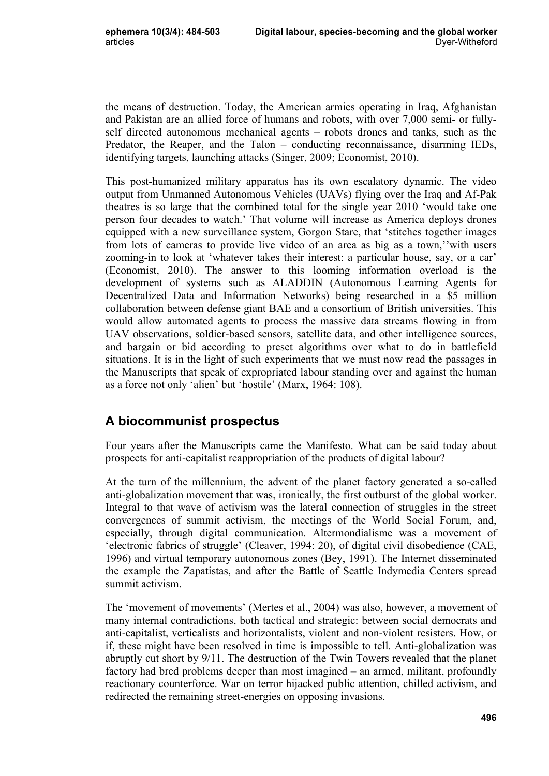the means of destruction. Today, the American armies operating in Iraq, Afghanistan and Pakistan are an allied force of humans and robots, with over 7,000 semi- or fullyself directed autonomous mechanical agents – robots drones and tanks, such as the Predator, the Reaper, and the Talon – conducting reconnaissance, disarming IEDs, identifying targets, launching attacks (Singer, 2009; Economist, 2010).

This post-humanized military apparatus has its own escalatory dynamic. The video output from Unmanned Autonomous Vehicles (UAVs) flying over the Iraq and Af-Pak theatres is so large that the combined total for the single year 2010 'would take one person four decades to watch.' That volume will increase as America deploys drones equipped with a new surveillance system, Gorgon Stare, that 'stitches together images from lots of cameras to provide live video of an area as big as a town,''with users zooming-in to look at 'whatever takes their interest: a particular house, say, or a car' (Economist, 2010). The answer to this looming information overload is the development of systems such as ALADDIN (Autonomous Learning Agents for Decentralized Data and Information Networks) being researched in a \$5 million collaboration between defense giant BAE and a consortium of British universities. This would allow automated agents to process the massive data streams flowing in from UAV observations, soldier-based sensors, satellite data, and other intelligence sources, and bargain or bid according to preset algorithms over what to do in battlefield situations. It is in the light of such experiments that we must now read the passages in the Manuscripts that speak of expropriated labour standing over and against the human as a force not only 'alien' but 'hostile' (Marx, 1964: 108).

# **A biocommunist prospectus**

Four years after the Manuscripts came the Manifesto. What can be said today about prospects for anti-capitalist reappropriation of the products of digital labour?

At the turn of the millennium, the advent of the planet factory generated a so-called anti-globalization movement that was, ironically, the first outburst of the global worker. Integral to that wave of activism was the lateral connection of struggles in the street convergences of summit activism, the meetings of the World Social Forum, and, especially, through digital communication. Altermondialisme was a movement of 'electronic fabrics of struggle' (Cleaver, 1994: 20), of digital civil disobedience (CAE, 1996) and virtual temporary autonomous zones (Bey, 1991). The Internet disseminated the example the Zapatistas, and after the Battle of Seattle Indymedia Centers spread summit activism.

The 'movement of movements' (Mertes et al., 2004) was also, however, a movement of many internal contradictions, both tactical and strategic: between social democrats and anti-capitalist, verticalists and horizontalists, violent and non-violent resisters. How, or if, these might have been resolved in time is impossible to tell. Anti-globalization was abruptly cut short by 9/11. The destruction of the Twin Towers revealed that the planet factory had bred problems deeper than most imagined – an armed, militant, profoundly reactionary counterforce. War on terror hijacked public attention, chilled activism, and redirected the remaining street-energies on opposing invasions.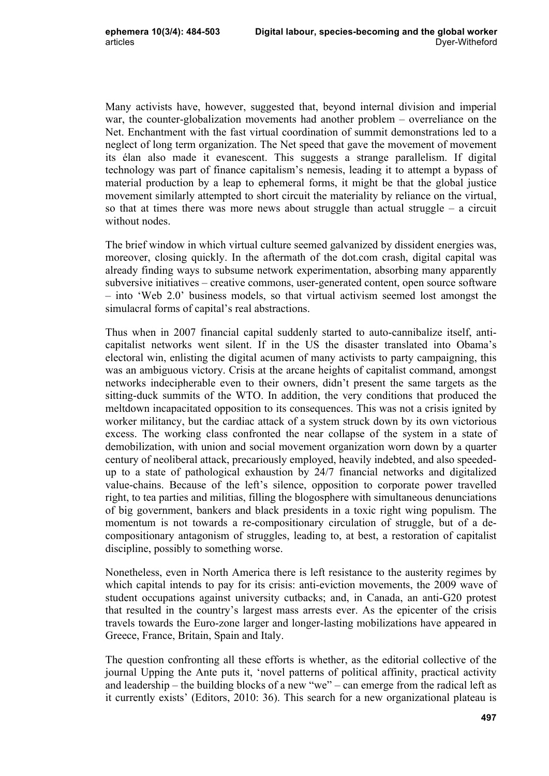Many activists have, however, suggested that, beyond internal division and imperial war, the counter-globalization movements had another problem – overreliance on the Net. Enchantment with the fast virtual coordination of summit demonstrations led to a neglect of long term organization. The Net speed that gave the movement of movement its élan also made it evanescent. This suggests a strange parallelism. If digital technology was part of finance capitalism's nemesis, leading it to attempt a bypass of material production by a leap to ephemeral forms, it might be that the global justice movement similarly attempted to short circuit the materiality by reliance on the virtual, so that at times there was more news about struggle than actual struggle – a circuit without nodes.

The brief window in which virtual culture seemed galvanized by dissident energies was, moreover, closing quickly. In the aftermath of the dot.com crash, digital capital was already finding ways to subsume network experimentation, absorbing many apparently subversive initiatives – creative commons, user-generated content, open source software – into 'Web 2.0' business models, so that virtual activism seemed lost amongst the simulacral forms of capital's real abstractions.

Thus when in 2007 financial capital suddenly started to auto-cannibalize itself, anticapitalist networks went silent. If in the US the disaster translated into Obama's electoral win, enlisting the digital acumen of many activists to party campaigning, this was an ambiguous victory. Crisis at the arcane heights of capitalist command, amongst networks indecipherable even to their owners, didn't present the same targets as the sitting-duck summits of the WTO. In addition, the very conditions that produced the meltdown incapacitated opposition to its consequences. This was not a crisis ignited by worker militancy, but the cardiac attack of a system struck down by its own victorious excess. The working class confronted the near collapse of the system in a state of demobilization, with union and social movement organization worn down by a quarter century of neoliberal attack, precariously employed, heavily indebted, and also speededup to a state of pathological exhaustion by 24/7 financial networks and digitalized value-chains. Because of the left's silence, opposition to corporate power travelled right, to tea parties and militias, filling the blogosphere with simultaneous denunciations of big government, bankers and black presidents in a toxic right wing populism. The momentum is not towards a re-compositionary circulation of struggle, but of a decompositionary antagonism of struggles, leading to, at best, a restoration of capitalist discipline, possibly to something worse.

Nonetheless, even in North America there is left resistance to the austerity regimes by which capital intends to pay for its crisis: anti-eviction movements, the 2009 wave of student occupations against university cutbacks; and, in Canada, an anti-G20 protest that resulted in the country's largest mass arrests ever. As the epicenter of the crisis travels towards the Euro-zone larger and longer-lasting mobilizations have appeared in Greece, France, Britain, Spain and Italy.

The question confronting all these efforts is whether, as the editorial collective of the journal Upping the Ante puts it, 'novel patterns of political affinity, practical activity and leadership – the building blocks of a new "we" – can emerge from the radical left as it currently exists' (Editors, 2010: 36). This search for a new organizational plateau is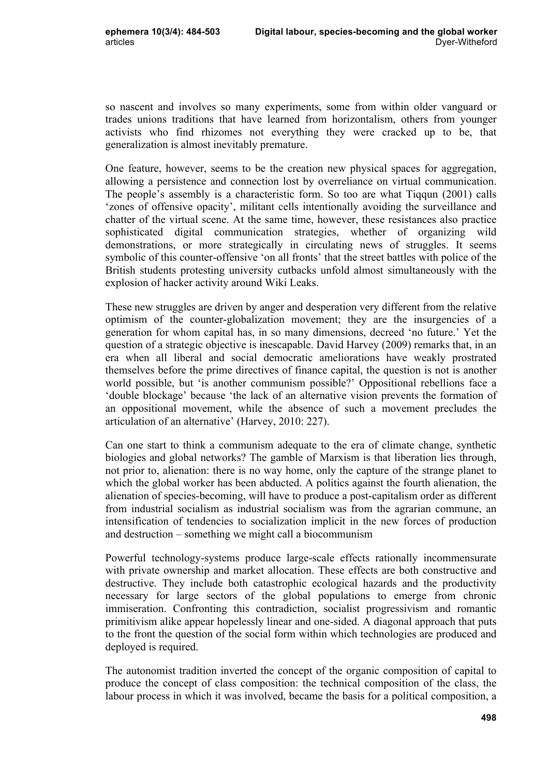so nascent and involves so many experiments, some from within older vanguard or trades unions traditions that have learned from horizontalism, others from younger activists who find rhizomes not everything they were cracked up to be, that generalization is almost inevitably premature.

One feature, however, seems to be the creation new physical spaces for aggregation, allowing a persistence and connection lost by overreliance on virtual communication. The people's assembly is a characteristic form. So too are what Tiqqun (2001) calls 'zones of offensive opacity', militant cells intentionally avoiding the surveillance and chatter of the virtual scene. At the same time, however, these resistances also practice sophisticated digital communication strategies, whether of organizing wild demonstrations, or more strategically in circulating news of struggles. It seems symbolic of this counter-offensive 'on all fronts' that the street battles with police of the British students protesting university cutbacks unfold almost simultaneously with the explosion of hacker activity around Wiki Leaks.

These new struggles are driven by anger and desperation very different from the relative optimism of the counter-globalization movement; they are the insurgencies of a generation for whom capital has, in so many dimensions, decreed 'no future.' Yet the question of a strategic objective is inescapable. David Harvey (2009) remarks that, in an era when all liberal and social democratic ameliorations have weakly prostrated themselves before the prime directives of finance capital, the question is not is another world possible, but 'is another communism possible?' Oppositional rebellions face a 'double blockage' because 'the lack of an alternative vision prevents the formation of an oppositional movement, while the absence of such a movement precludes the articulation of an alternative' (Harvey, 2010: 227).

Can one start to think a communism adequate to the era of climate change, synthetic biologies and global networks? The gamble of Marxism is that liberation lies through, not prior to, alienation: there is no way home, only the capture of the strange planet to which the global worker has been abducted. A politics against the fourth alienation, the alienation of species-becoming, will have to produce a post-capitalism order as different from industrial socialism as industrial socialism was from the agrarian commune, an intensification of tendencies to socialization implicit in the new forces of production and destruction – something we might call a biocommunism

Powerful technology-systems produce large-scale effects rationally incommensurate with private ownership and market allocation. These effects are both constructive and destructive. They include both catastrophic ecological hazards and the productivity necessary for large sectors of the global populations to emerge from chronic immiseration. Confronting this contradiction, socialist progressivism and romantic primitivism alike appear hopelessly linear and one-sided. A diagonal approach that puts to the front the question of the social form within which technologies are produced and deployed is required.

The autonomist tradition inverted the concept of the organic composition of capital to produce the concept of class composition: the technical composition of the class, the labour process in which it was involved, became the basis for a political composition, a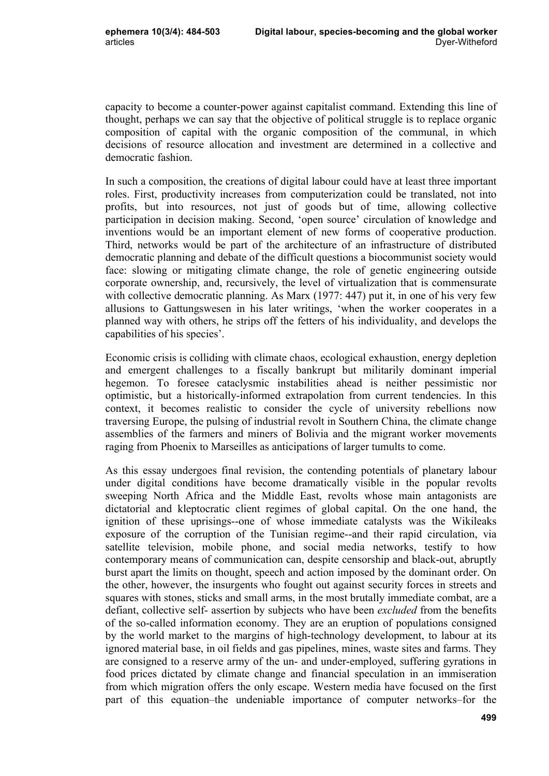capacity to become a counter-power against capitalist command. Extending this line of thought, perhaps we can say that the objective of political struggle is to replace organic composition of capital with the organic composition of the communal, in which decisions of resource allocation and investment are determined in a collective and democratic fashion.

In such a composition, the creations of digital labour could have at least three important roles. First, productivity increases from computerization could be translated, not into profits, but into resources, not just of goods but of time, allowing collective participation in decision making. Second, 'open source' circulation of knowledge and inventions would be an important element of new forms of cooperative production. Third, networks would be part of the architecture of an infrastructure of distributed democratic planning and debate of the difficult questions a biocommunist society would face: slowing or mitigating climate change, the role of genetic engineering outside corporate ownership, and, recursively, the level of virtualization that is commensurate with collective democratic planning. As Marx (1977: 447) put it, in one of his very few allusions to Gattungswesen in his later writings, 'when the worker cooperates in a planned way with others, he strips off the fetters of his individuality, and develops the capabilities of his species'.

Economic crisis is colliding with climate chaos, ecological exhaustion, energy depletion and emergent challenges to a fiscally bankrupt but militarily dominant imperial hegemon. To foresee cataclysmic instabilities ahead is neither pessimistic nor optimistic, but a historically-informed extrapolation from current tendencies. In this context, it becomes realistic to consider the cycle of university rebellions now traversing Europe, the pulsing of industrial revolt in Southern China, the climate change assemblies of the farmers and miners of Bolivia and the migrant worker movements raging from Phoenix to Marseilles as anticipations of larger tumults to come.

As this essay undergoes final revision, the contending potentials of planetary labour under digital conditions have become dramatically visible in the popular revolts sweeping North Africa and the Middle East, revolts whose main antagonists are dictatorial and kleptocratic client regimes of global capital. On the one hand, the ignition of these uprisings--one of whose immediate catalysts was the Wikileaks exposure of the corruption of the Tunisian regime--and their rapid circulation, via satellite television, mobile phone, and social media networks, testify to how contemporary means of communication can, despite censorship and black-out, abruptly burst apart the limits on thought, speech and action imposed by the dominant order. On the other, however, the insurgents who fought out against security forces in streets and squares with stones, sticks and small arms, in the most brutally immediate combat, are a defiant, collective self- assertion by subjects who have been *excluded* from the benefits of the so-called information economy. They are an eruption of populations consigned by the world market to the margins of high-technology development, to labour at its ignored material base, in oil fields and gas pipelines, mines, waste sites and farms. They are consigned to a reserve army of the un- and under-employed, suffering gyrations in food prices dictated by climate change and financial speculation in an immiseration from which migration offers the only escape. Western media have focused on the first part of this equation–the undeniable importance of computer networks–for the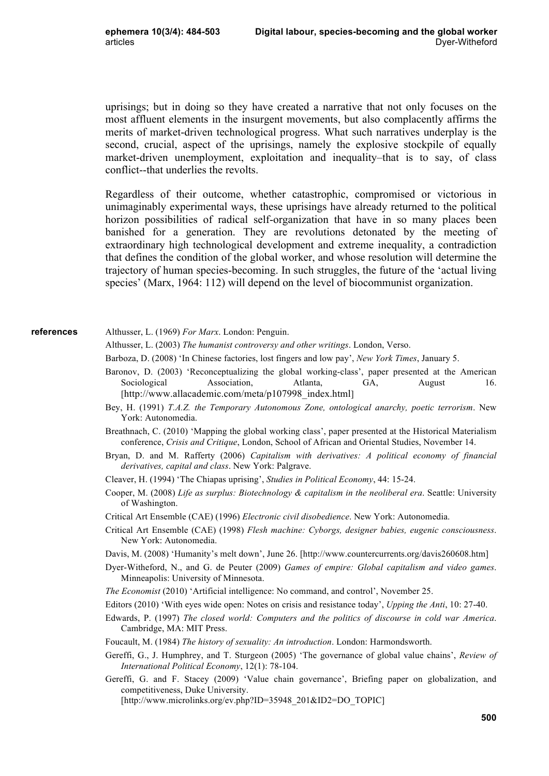uprisings; but in doing so they have created a narrative that not only focuses on the most affluent elements in the insurgent movements, but also complacently affirms the merits of market-driven technological progress. What such narratives underplay is the second, crucial, aspect of the uprisings, namely the explosive stockpile of equally market-driven unemployment, exploitation and inequality–that is to say, of class conflict--that underlies the revolts.

Regardless of their outcome, whether catastrophic, compromised or victorious in unimaginably experimental ways, these uprisings have already returned to the political horizon possibilities of radical self-organization that have in so many places been banished for a generation. They are revolutions detonated by the meeting of extraordinary high technological development and extreme inequality, a contradiction that defines the condition of the global worker, and whose resolution will determine the trajectory of human species-becoming. In such struggles, the future of the 'actual living species' (Marx, 1964: 112) will depend on the level of biocommunist organization.

#### **references**

- Althusser, L. (1969) *For Marx*. London: Penguin.
- Althusser, L. (2003) *The humanist controversy and other writings*. London, Verso.
- Barboza, D. (2008) 'In Chinese factories, lost fingers and low pay', *New York Times*, January 5.
- Baronov, D. (2003) 'Reconceptualizing the global working-class', paper presented at the American Sociological Association, Atlanta, GA, August 16. [http://www.allacademic.com/meta/p107998\_index.html]
- Bey, H. (1991) *T.A.Z. the Temporary Autonomous Zone, ontological anarchy, poetic terrorism*. New York: Autonomedia.
- Breathnach, C. (2010) 'Mapping the global working class', paper presented at the Historical Materialism conference, *Crisis and Critique*, London, School of African and Oriental Studies, November 14.
- Bryan, D. and M. Rafferty (2006) *Capitalism with derivatives: A political economy of financial derivatives, capital and class*. New York: Palgrave.
- Cleaver, H. (1994) 'The Chiapas uprising', *Studies in Political Economy*, 44: 15-24.
- Cooper, M. (2008) *Life as surplus: Biotechnology & capitalism in the neoliberal era*. Seattle: University of Washington.
- Critical Art Ensemble (CAE) (1996) *Electronic civil disobedience*. New York: Autonomedia.
- Critical Art Ensemble (CAE) (1998) *Flesh machine: Cyborgs, designer babies, eugenic consciousness*. New York: Autonomedia.
- Davis, M. (2008) 'Humanity's melt down', June 26. [http://www.countercurrents.org/davis260608.htm]
- Dyer-Witheford, N., and G. de Peuter (2009) *Games of empire: Global capitalism and video games*. Minneapolis: University of Minnesota.
- *The Economist* (2010) 'Artificial intelligence: No command, and control', November 25.
- Editors (2010) 'With eyes wide open: Notes on crisis and resistance today', *Upping the Anti*, 10: 27-40.
- Edwards, P. (1997) *The closed world: Computers and the politics of discourse in cold war America*. Cambridge, MA: MIT Press.
- Foucault, M. (1984) *The history of sexuality: An introduction*. London: Harmondsworth.
- Gereffi, G., J. Humphrey, and T. Sturgeon (2005) 'The governance of global value chains', *Review of International Political Economy*, 12(1): 78-104.
- Gereffi, G. and F. Stacey (2009) 'Value chain governance', Briefing paper on globalization, and competitiveness, Duke University.

[http://www.microlinks.org/ev.php?ID=35948\_201&ID2=DO\_TOPIC]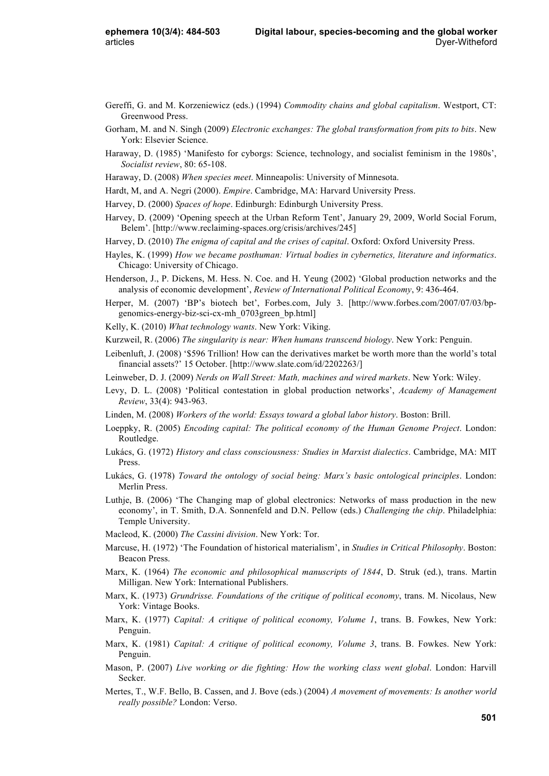- Gereffi, G. and M. Korzeniewicz (eds.) (1994) *Commodity chains and global capitalism*. Westport, CT: Greenwood Press.
- Gorham, M. and N. Singh (2009) *Electronic exchanges: The global transformation from pits to bits*. New York: Elsevier Science.
- Haraway, D. (1985) 'Manifesto for cyborgs: Science, technology, and socialist feminism in the 1980s', *Socialist review*, 80: 65-108.
- Haraway, D. (2008) *When species meet*. Minneapolis: University of Minnesota.
- Hardt, M, and A. Negri (2000). *Empire*. Cambridge, MA: Harvard University Press.
- Harvey, D. (2000) *Spaces of hope*. Edinburgh: Edinburgh University Press.
- Harvey, D. (2009) 'Opening speech at the Urban Reform Tent', January 29, 2009, World Social Forum, Belem'. [http://www.reclaiming-spaces.org/crisis/archives/245]
- Harvey, D. (2010) *The enigma of capital and the crises of capital*. Oxford: Oxford University Press.
- Hayles, K. (1999) *How we became posthuman: Virtual bodies in cybernetics, literature and informatics*. Chicago: University of Chicago.
- Henderson, J., P. Dickens, M. Hess. N. Coe. and H. Yeung (2002) 'Global production networks and the analysis of economic development', *Review of International Political Economy*, 9: 436-464.
- Herper, M. (2007) 'BP's biotech bet', Forbes.com, July 3. [http://www.forbes.com/2007/07/03/bpgenomics-energy-biz-sci-cx-mh\_0703green\_bp.html]
- Kelly, K. (2010) *What technology wants*. New York: Viking.
- Kurzweil, R. (2006) *The singularity is near: When humans transcend biology*. New York: Penguin.
- Leibenluft, J. (2008) '\$596 Trillion! How can the derivatives market be worth more than the world's total financial assets?' 15 October. [http://www.slate.com/id/2202263/]
- Leinweber, D. J. (2009) *Nerds on Wall Street: Math, machines and wired markets*. New York: Wiley.
- Levy, D. L. (2008) 'Political contestation in global production networks', *Academy of Management Review*, 33(4): 943-963.
- Linden, M. (2008) *Workers of the world: Essays toward a global labor history*. Boston: Brill.
- Loeppky, R. (2005) *Encoding capital: The political economy of the Human Genome Project*. London: Routledge.
- Lukács, G. (1972) *History and class consciousness: Studies in Marxist dialectics*. Cambridge, MA: MIT Press.
- Lukács, G. (1978) *Toward the ontology of social being: Marx's basic ontological principles*. London: Merlin Press.
- Luthje, B. (2006) 'The Changing map of global electronics: Networks of mass production in the new economy', in T. Smith, D.A. Sonnenfeld and D.N. Pellow (eds.) *Challenging the chip*. Philadelphia: Temple University.
- Macleod, K. (2000) *The Cassini division*. New York: Tor.
- Marcuse, H. (1972) 'The Foundation of historical materialism', in *Studies in Critical Philosophy*. Boston: Beacon Press.
- Marx, K. (1964) *The economic and philosophical manuscripts of 1844*, D. Struk (ed.), trans. Martin Milligan. New York: International Publishers.
- Marx, K. (1973) *Grundrisse. Foundations of the critique of political economy*, trans. M. Nicolaus, New York: Vintage Books.
- Marx, K. (1977) *Capital: A critique of political economy, Volume 1*, trans. B. Fowkes, New York: Penguin.
- Marx, K. (1981) *Capital: A critique of political economy, Volume 3*, trans. B. Fowkes. New York: Penguin.
- Mason, P. (2007) *Live working or die fighting: How the working class went global*. London: Harvill Secker.
- Mertes, T., W.F. Bello, B. Cassen, and J. Bove (eds.) (2004) *A movement of movements: Is another world really possible?* London: Verso.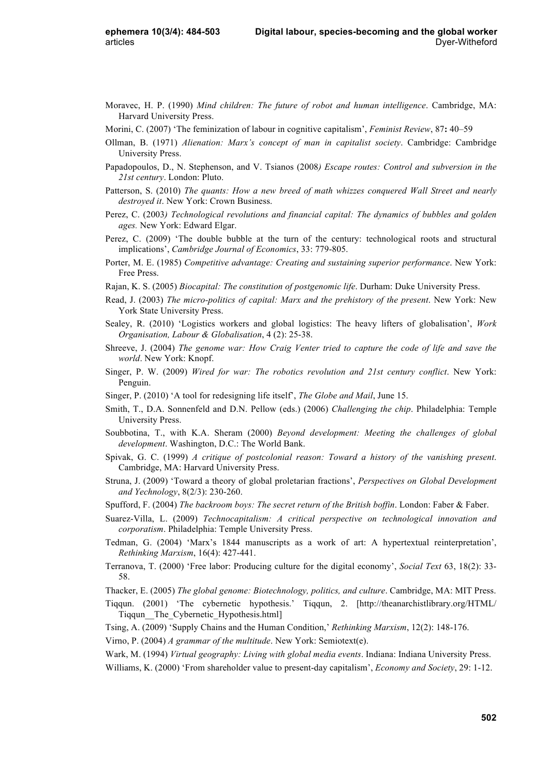- Moravec, H. P. (1990) *Mind children: The future of robot and human intelligence*. Cambridge, MA: Harvard University Press.
- Morini, C. (2007) 'The feminization of labour in cognitive capitalism', *Feminist Review*, 87**:** 40–59
- Ollman, B. (1971) *Alienation: Marx's concept of man in capitalist society*. Cambridge: Cambridge University Press.
- Papadopoulos, D., N. Stephenson, and V. Tsianos (2008*) Escape routes: Control and subversion in the 21st century*. London: Pluto.
- Patterson, S. (2010) *The quants: How a new breed of math whizzes conquered Wall Street and nearly destroyed it*. New York: Crown Business.
- Perez, C. (2003*) Technological revolutions and financial capital: The dynamics of bubbles and golden ages.* New York: Edward Elgar.
- Perez, C. (2009) 'The double bubble at the turn of the century: technological roots and structural implications', *Cambridge Journal of Economics*, 33: 779-805.
- Porter, M. E. (1985) *Competitive advantage: Creating and sustaining superior performance*. New York: Free Press.
- Rajan, K. S. (2005) *Biocapital: The constitution of postgenomic life*. Durham: Duke University Press.
- Read, J. (2003) *The micro-politics of capital: Marx and the prehistory of the present*. New York: New York State University Press.
- Sealey, R. (2010) 'Logistics workers and global logistics: The heavy lifters of globalisation', *Work Organisation, Labour & Globalisation*, 4 (2): 25-38.
- Shreeve, J. (2004) *The genome war: How Craig Venter tried to capture the code of life and save the world*. New York: Knopf.
- Singer, P. W. (2009) *Wired for war: The robotics revolution and 21st century conflict*. New York: Penguin.
- Singer, P. (2010) 'A tool for redesigning life itself', *The Globe and Mail*, June 15.
- Smith, T., D.A. Sonnenfeld and D.N. Pellow (eds.) (2006) *Challenging the chip*. Philadelphia: Temple University Press.
- Soubbotina, T., with K.A. Sheram (2000) *Beyond development: Meeting the challenges of global development*. Washington, D.C.: The World Bank.
- Spivak, G. C. (1999) *A critique of postcolonial reason: Toward a history of the vanishing present*. Cambridge, MA: Harvard University Press.
- Struna, J. (2009) 'Toward a theory of global proletarian fractions', *Perspectives on Global Development and Yechnology*, 8(2/3): 230-260.
- Spufford, F. (2004) *The backroom boys: The secret return of the British boffin*. London: Faber & Faber.
- Suarez-Villa, L. (2009) *Technocapitalism: A critical perspective on technological innovation and corporatism*. Philadelphia: Temple University Press.
- Tedman, G. (2004) 'Marx's 1844 manuscripts as a work of art: A hypertextual reinterpretation', *Rethinking Marxism*, 16(4): 427-441.
- Terranova, T. (2000) 'Free labor: Producing culture for the digital economy', *Social Text* 63, 18(2): 33- 58.
- Thacker, E. (2005) *The global genome: Biotechnology, politics, and culture*. Cambridge, MA: MIT Press.
- Tiqqun. (2001) 'The cybernetic hypothesis.' Tiqqun, 2. [http://theanarchistlibrary.org/HTML/ Tiqqun\_\_The\_Cybernetic\_Hypothesis.html]
- Tsing, A. (2009) 'Supply Chains and the Human Condition,' *Rethinking Marxism*, 12(2): 148-176.
- Virno, P. (2004) *A grammar of the multitude*. New York: Semiotext(e).

Wark, M. (1994) *Virtual geography: Living with global media events*. Indiana: Indiana University Press. Williams, K. (2000) 'From shareholder value to present-day capitalism', *Economy and Society*, 29: 1-12.